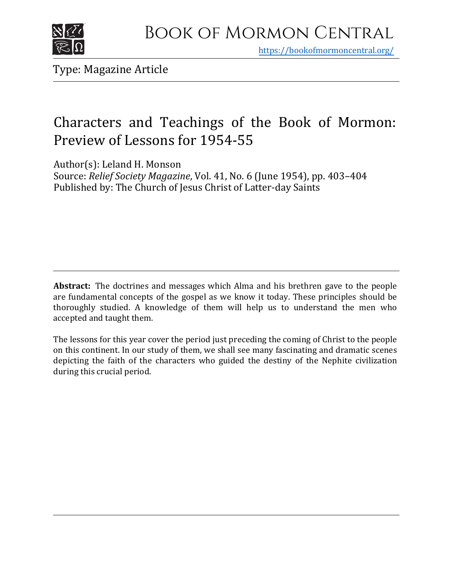

https[://bookofmormoncentral.org/](http://bookofmormoncentral.org/)

Type: Magazine Article

## Characters and Teachings of the Book of Mormon: Preview of Lessons for 1954-55

Author(s): Leland H. Monson

Source: *Relief Society Magazine*, Vol. 41, No. 6 (June 1954), pp. 403–404 Published by: The Church of Jesus Christ of Latter-day Saints

**Abstract:** The doctrines and messages which Alma and his brethren gave to the people are fundamental concepts of the gospel as we know it today. These principles should be thoroughly studied. A knowledge of them will help us to understand the men who accepted and taught them.

The lessons for this year cover the period just preceding the coming of Christ to the people on this continent. In our study of them, we shall see many fascinating and dramatic scenes depicting the faith of the characters who guided the destiny of the Nephite civilization during this crucial period.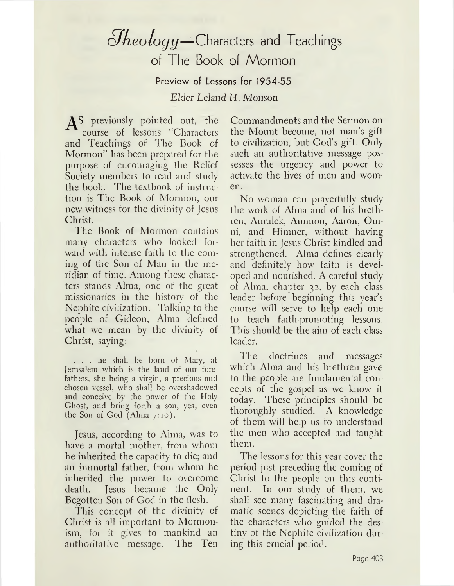## *olkeologij—*Characters and Teachings of The Book of Mormon

Preview of Lessons for 1954-55

*Elder Leland FL Monson*

A<sup>s</sup> previously pointed out, the course of lessons "Characters and Teachings of The Book of Mormon" has been prepared for the purpose of encouraging the Relief Society members to read and study the book. The textbook of instruction is The Book of Mormon, our new witness for the divinity of Jesus Christ.

The Book of Mormon contains many characters who looked forward with intense faith to the coming of the Son of Man in the meridian of time. Among these characters stands Alma, one of the great missionaries in the history of the Nephite civilization. Talking to the people of Gideon, Alma defined what we mean by the divinity of Christ, saying:

... he shall he born of Mary, at Jerusalem which is the land of our forefathers, she being a virgin, a precious and chosen vessel, who shall be overshadowed and conceive by the power of the Holy Ghost, and bring forth a son, yea, even the Son of God (Alma 7:10).

Jesus, according to Alma, was to have a mortal mother, from whom he inherited the capacity to die; and an immortal father, from whom he inherited the power to overcome death. Jesus became the Only Begotten Son of God in the flesh.

This concept of the divinity of Christ is all important to Mormonism, for it gives to mankind an authoritative message. The Ten

Commandments and the Sermon on the Mount become, not man'<sup>s</sup> gift to civilization, but God'<sup>s</sup> gift. Only such an authoritative message possesses the urgency and power to activate the lives of men and women.

No woman can prayerfully study the work of Alma and of his brethren, Amulek, Ammon, Aaron, Omni, and Ilimncr, without having her faith in Jesus Christ kindled and strengthened. Alma defines clearly and definitely how faith is developed and nourished. A careful study of Alma, chapter 32, by each class leader before beginning this year'<sup>s</sup> course will serve to help each one to teach faith-promoting lessons. This should be the aim of each class leader.

The doctrines and messages which Alma and his brethren gave to the people are fundamental concepts of the gospel as we know it today. These principles should be thoroughly studied. A knowledge of them will help us to understand the men who accepted and taught them.

The lessons for this year cover the period just preceding the coming of Christ to the people on this continent. In our study of them, we shall see many fascinating and dramatic scenes depicting the faith of the characters who guided the destiny of the Nephite civilization during this crucial period.